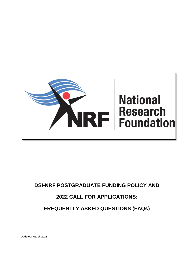<span id="page-0-0"></span>

# **DSI-NRF POSTGRADUATE FUNDING POLICY AND 2022 CALL FOR APPLICATIONS: FREQUENTLY ASKED QUESTIONS (FAQs)**

**Updated: March 2022**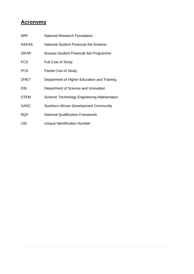# **Acronyms**

| <b>NRF</b>   | National Research Foundation                |
|--------------|---------------------------------------------|
| <b>NSFAS</b> | National Student Financial Aid Scheme       |
| <b>ISFAP</b> | Ikusasa Student Financial Aid Programme     |
| <b>FCS</b>   | <b>Full Cost of Study</b>                   |
| <b>PCS</b>   | <b>Partial Cost of Study</b>                |
| <b>DHET</b>  | Department of Higher Education and Training |
| DSI          | Department of Science and Innovation        |
| <b>STEM</b>  | Science Technology Engineering Mathematics  |
| <b>SADC</b>  | Southern African Development Community      |
| <b>NQF</b>   | <b>National Qualification Framework</b>     |
| UID          | Unique Identification Number                |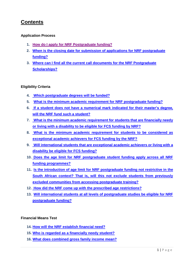# **Contents**

#### **Application Process**

- **1. [How do I apply for NRF Postgraduate funding?](#page-8-0)**
- **2. [When is the closing date for submission of applications for NRF postgraduate](#page-8-1)  [funding?](#page-8-1)**
- **3. [Where can I find all the current call documents for the NRF Postgraduate](#page-8-2)  [Scholarships?](#page-8-2)**

#### **Eligibility Criteria**

- **4. [Which postgraduate degrees will be funded?](#page-9-0)**
- **5. What is [the minimum academic requirement for NRF postgraduate funding?](#page-9-1)**
- **6. [If a student does not have a numerical mark indicated for their](#page-9-2) master's degree, [will the NRF fund](#page-9-2) such a student?**
- **7. What is [the minimum academic requirement for students that are financially needy](#page-9-3)  [or living with a disability to be eligible for FCS funding by NRF?](#page-9-3)**
- **8. What is [the minimum academic requirement for students to be considered as](#page-10-0)  [exceptional academic achievers for FCS funding by the NRF?](#page-10-0)**
- **9. [Will international students that are exceptional academic achievers or living with a](#page-10-1)  [disability be eligible for](#page-10-1) FCS funding?**
- **10. [Does the age limit for NRF postgraduate student funding apply across all NRF](#page-10-2)  [funding programmes?](#page-10-2)**
- **11. [Is the introduction of age limit for NRF postgraduate funding not restrictive in the](#page-14-0)  [South African context? That is, will this not exclude students from previously](#page-14-0)  [excluded communities from accessing postgraduate training?](#page-14-0)**
- **12. [How did the NRF come up with the prescribed age restrictions?](#page-14-1)**
- **13. [Will international students at all levels of postgraduate studies be eligible for NRF](#page-14-2)  [postgraduate funding?](#page-14-2)**

#### **Financial Means Test**

- **14. [How will the NRF establish financial need?](#page-14-3)**
- **15. [Who is regarded as a financially needy student?](#page-15-0)**
- **16. What does combined gross [family income mean?](#page-15-1)**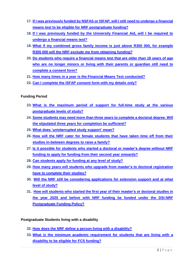- **17. [If I was previously funded by NSFAS or ISFAP, will I still need to undergo a financial](#page-15-2)  [means test to be eligible for NRF postgraduate funding?](#page-15-2)**
- **18. [If I was previously funded by the University Financial Aid, will I be required to](#page-12-0)  [undergo a financial means test?](#page-12-0)**
- **19. What if my combined gross [family income is just above R350 000, for example](#page-12-1)  [R355 000 will the NRF exclude me from obtaining funding?](#page-12-1)**
- **20. Do students [who require a financial means](#page-12-2) test that are older than 18 years of age who are no longer [minors or living with their parents or guardian](#page-12-2) still need to complete a [consent form?](#page-12-2)**
- **21. [How many times in a year](#page-0-0) is the Financial Means Test conducted?**
- **22. [Can I complete the ISFAP consent form with my details only?](#page-0-0)**

#### **Funding Period**

- **23. What is [the maximum period of support for full-time study at the various](#page-13-0)  [postgraduate levels](#page-13-0) of study?**
- **24. Some students may [need more than three](#page-13-1) years to complete a doctoral degree. Will the stipulated three years for [completion be sufficient?](#page-13-1)**
- **25. [What does 'uninterrupted study](#page-14-0) support' mean?**
- **26. [How will the NRF cater for female students that have taken time off from their](#page-14-1)  [studies in-between degrees to raise a family?](#page-14-1)**
- **27. [Is it possible for students who started](#page-14-2) a doctoral or master's degree without NRF funding to apply for [funding from their second year onwards?](#page-14-2)**
- **28. Can students [apply for funding at any level of study?](#page-14-3)**
- **29. [How many years will students who upgrade from master's](#page-15-0) to doctoral registration [have to complete their studies?](#page-15-0)**
- **30. [Will the NRF still be considering applications for extension support and at what](#page-15-1)  [level of study?](#page-15-1)**
- **31. [How will students who started the first year of their master's](#page-15-2) or doctoral studies in the year 2020 and before [with NRF funding be funded under the DSI-NRF](#page-15-2)  [Postgraduate Funding Policy?](#page-15-2)**

#### **Postgraduate Students living with a disability**

- **32. [How does the NRF define a person living with a disability?](#page-15-3)**
- **33. What is [the minimum academic requirement for students that are living with a](#page-16-0)  [disability to be eligible for FCS](#page-16-0) funding?**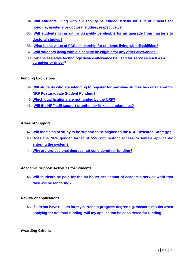- **34. [Will students living with a disability be funded strictly for 1, 2 or 3 years for](#page-16-1)  honours, master's [or doctoral studies,](#page-16-1) respectively?**
- **35. Will students living [with a disability be eligible for an upgrade](#page-16-2) from master's to [doctoral studies?](#page-16-2)**
- **36. What is the value of FCS scholarship for students living with disabilities?**
- **37. [Will students living with a disability be eligible for any other allowances?](#page-17-0)**
- **38. [Can the assistive technology device allowance be used for services such as a](#page-17-1)  [caregiver or driver?](#page-17-1)**

#### **Funding Exclusions**

- **39. Will students who [are intending to register for part-time studies be](#page-17-2) considered for NRF [Postgraduate](#page-17-2) Student Funding?**
- **40. [Which qualifications are](#page-17-1) not funded by the NRF?**
- **41. [Will the NRF still support grantholder-linked scholarships?](#page-17-3)**

#### **Areas of Support**

- **42. [Will the fields of study to be supported be aligned to the NRF](#page-18-0) Research Strategy?**
- **43. [Does the NRF gender target of 55% not restrict access to female applicants'](#page-18-1) [entering the system?](#page-18-1)**
- **44. [Why are professional degrees not](#page-18-2) considered for funding?**

#### **Academic Support Activities for Students**

**45. [Will students be paid for the 80 hours](#page-18-3) per annum of academic service work that [they will be rendering?](#page-18-3)**

#### **Review of applications**

**46. If I do not have results for [my current in-progress degree e.g. master's](#page-19-0) results when [applying for doctoral funding, will my application be considered for funding?](#page-19-0)**

#### **Awarding Criteria**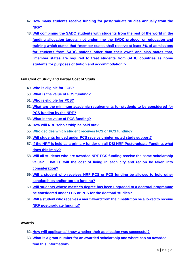- **47. [How many students receive funding for postgraduate studies annually from the](#page-19-1)  [NRF?](#page-19-1)**
- **48. Will combining the SADC students with students from the rest of the world in the funding allocation targets, not undermine the [SADC protocol on education and](#page-19-2)  [training which states that "member states shall reserve at least 5% of admissions](#page-19-2)  [for students from SADC nations other than their own" and also states that,](#page-19-2)  ["member states are required to treat students from SADC countries as home](#page-19-2)  [students for purposes of tuition and accommodation"?](#page-19-2)**

**Full Cost of Study and Partial Cost of Study**

- **49. Who is [eligible for FCS?](#page-19-3)**
- **50. [What is the value of](#page-20-0) FCS funding?**
- **51. Who [is eligible for PCS?](#page-20-1)**
- **52. What are [the minimum academic requirements for students to be considered for](#page-20-2) PCS [funding by the NRF?](#page-20-2)**
- **53. [What is the value of](#page-20-3) PCS funding?**
- **54. [How will NRF scholarship be paid out?](#page-20-4)**
- **55. [Who decides which student receives](#page-20-5) FCS or PCS funding?**
- **56. Will students funded under PCS [receive uninterrupted study support?](#page-21-0)**
- **57. [If the NRF is held as a primary funder on all DSI-NRF Postgraduate Funding,](#page-21-1) what [does this imply?](#page-21-1)**
- **58. [Will all students who are awarded NRF FCS funding](#page-21-2) receive the same scholarship [value? That is, will the cost of living in each city and region be taken into](#page-21-2)  [consideration?](#page-21-2)**
- **59. Will a student who receives NRF PCS or FCS [funding be allowed to hold other](#page-21-3)  scholarships [and/or top-up funding?](#page-21-3)**
- **60. Will students whose master's degree has [been upgraded to a doctoral programme](#page-21-4)  be [considered under FCS or PCS for](#page-21-4) the doctoral studies?**
- **61. [Will a student who receives a merit award from their institution be allowed to receive](#page-22-0)  [NRF postgraduate funding?](#page-22-0)**

#### **Awards**

- **62. How will applicants' know whether [their application was successful?](#page-22-1)**
- **63. [What is a grant number for an awarded scholarship and where can an awardee](#page-22-2)  [find this information?](#page-22-2)**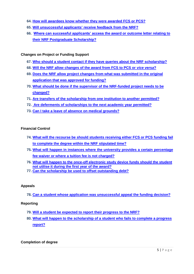- **64. How will awardees know whether [they were awarded FCS or PCS?](#page-22-3)**
- **65. Will unsuccessful applicants' [receive feedback from the NRF?](#page-22-4)**
- **66. [Where can successful applicants' access the award or outcome letter relating to](#page-23-0)  [their NRF Postgraduate Scholarship?](#page-23-0)**

#### **Changes on Project or Funding Support**

- **67. [Who should a student contact if they have queries about the NRF scholarship?](#page-23-1)**
- **68. [Will the NRF allow changes of the award from FCS to PCS or](#page-23-2)** *vice versa***?**
- **69. [Does the NRF allow project changes from what was submitted in the original](#page-23-3)  [application that was approved for funding?](#page-23-3)**
- **70. [What should be done if the supervisor of the NRF-funded project needs to be](#page-24-0)  [changed?](#page-24-0)**
- **71. [Are transfers of the scholarship from one institution to another permitted?](#page-24-1)**
- **72. [Are deferments of scholarships to the next academic year permitted?](#page-24-2)**
- **73. [Can I take a leave of absence](#page-24-3) on medical grounds?**

#### **Financial Control**

- **74. [What will the recourse be should students receiving either FCS or PCS funding](#page-24-4) fail [to complete the degree within the NRF stipulated time?](#page-24-4)**
- **75. [What will happen in instances where the university provides a certain percentage](#page-25-0)  [fee waiver or where a tuition fee is not charged?](#page-25-0)**
- **76. [What will happen to the once-off electronic study device funds should the student](#page-25-1)  [not utilise it during the first year of the award?](#page-25-1)**
- **77. Can the scholarship [be used to offset outstanding debt?](#page-25-2)**

#### **Appeals**

**78. [Can a student whose application was unsuccessful appeal the funding decision?](#page-25-3)**

#### **Reporting**

- **79. [Will a student be expected to report their progress to the NRF?](#page-25-4)**
- **80. [What will happen to the scholarship of a student who fails](#page-26-0) to complete a progress [report?](#page-26-0)**

#### **Completion of degree**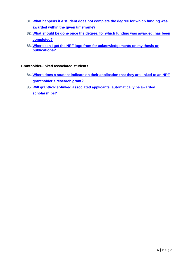- **81. [What happens if a student does not complete the degree for which funding was](#page-26-1)  [awarded within the given timeframe?](#page-26-1)**
- **82. What [should be done once the degree,](#page-26-2) for which funding was awarded, has been [completed?](#page-26-2)**
- **83. [Where can I get the NRF logo from for acknowledgements on my thesis or](#page-26-3)  [publications?](#page-26-3)**

#### **Grantholder-linked associated students**

- **84. [Where does a student indicate on their application that they are linked to an NRF](#page-26-4)  [grantholder's research grant?](#page-26-4)**
- **85. [Will grantholder-linked associated applicants'](#page-27-0) automatically be awarded [scholarships?](#page-27-0)**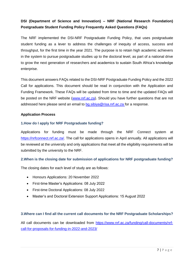# **DSI (Department of Science and Innovation) – NRF (National Research Foundation) Postgraduate Student Funding Policy Frequently Asked Questions (FAQs)**

The NRF implemented the DSI-NRF Postgraduate Funding Policy, that uses postgraduate student funding as a lever to address the challenges of inequity of access, success and throughput, for the first time in the year 2021. The purpose is to retain high academic achievers in the system to pursue postgraduate studies up to the doctoral level, as part of a national drive to grow the next generation of researchers and academics to sustain South Africa's knowledge enterprise.

This document answers FAQs related to the DSI-NRF Postgraduate Funding Policy and the 2022 Call for applications. This document should be read in conjunction with the Application and Funding Framework. These FAQs will be updated from time to time and the updated FAQs will be posted on the NRF website [\(www.nrf.ac.za\)](http://www.nrf.ac.za/). Should you have further questions that are not addressed here please send an email to [bg.sibiya@risa.nrf.ac.za](mailto:bg.sibiya@risa.nrf.ac.za) for a response.

#### **Application Process**

#### <span id="page-8-0"></span>**1.How do I apply for NRF Postgraduate funding?**

Applications for funding must be made through the NRF Connect system at [https://nrfconnect.nrf.ac.za/.](https://nrfconnect.nrf.ac.za/) The call for applications opens in April annually. All applications will be reviewed at the university and only applications that meet all the eligibility requirements will be submitted by the university to the NRF.

#### <span id="page-8-1"></span>**2.When is the closing date for submission of applications for NRF postgraduate funding?**

The closing dates for each level of study are as follows:

- Honours Applications: 20 November 2022
- First-time Master's Applications: 08 July 2022
- First-time Doctoral Applications: 08 July 2022
- Master's and Doctoral Extension Support Applications: 15 August 2022

#### <span id="page-8-2"></span>**3.Where can I find all the current call documents for the NRF Postgraduate Scholarships?**

All call documents can be downloaded from https://www.nrf.ac.za/funding/call-documents/nrfcall-for-proposals-for-funding-in-2022-and-2023/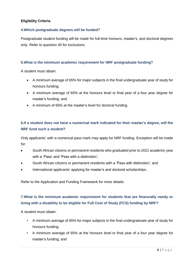#### **Eligibility Criteria**

#### <span id="page-9-0"></span>**4.Which postgraduate degrees will be funded?**

Postgraduate student funding will be made for full-time honours, master's, and doctoral degrees only. Refer to question 40 for exclusions.

#### <span id="page-9-1"></span>**5.What is the minimum academic requirement for NRF postgraduate funding?**

A student must obtain:

- A minimum average of 65% for major subjects in the final undergraduate year of study for honours funding;
- A minimum average of 65% at the honours level or final year of a four year degree for master's funding; and
- A minimum of 65% at the master's level for doctoral funding.

# <span id="page-9-2"></span>**6.If a student does not have a numerical mark indicated for their master's degree, will the NRF fund such a student?**

Only applicants' with a numerical pass mark may apply for NRF funding. Exception will be made for:

- South African citizens or permanent residents who graduated prior to 2021 academic year with a 'Pass' and 'Pass with a distinction';
- South African citizens or permanent residents with a 'Pass with distinction'; and
- International applicants' applying for master's and doctoral scholarships.

Refer to the Application and Funding Framework for more details.

# <span id="page-9-3"></span>**7.What is the minimum academic requirement for students that are financially needy or living with a disability to be eligible for Full Cost of Study (FCS) funding by NRF?**

A student must obtain:

- A minimum average of 65% for major subjects in the final undergraduate year of study for honours funding;
- A minimum average of 65% at the honours level or final year of a four year degree for master's funding; and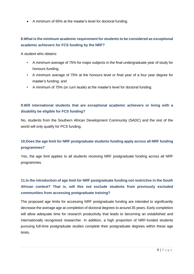A minimum of 65% at the master's level for doctoral funding.

# <span id="page-10-0"></span>**8.What is the minimum academic requirement for students to be considered as exceptional academic achievers for FCS funding by the NRF?**

A student who obtains:

- A minimum average of 75% for major subjects in the final undergraduate year of study for honours funding;
- A minimum average of 75% at the honours level or final year of a four year degree for master's funding; and
- A minimum of 75% (or cum laude) at the master's level for doctoral funding.

# <span id="page-10-1"></span>**9.Will international students that are exceptional academic achievers or living with a disability be eligible for FCS funding?**

No, students from the Southern African Development Community (SADC) and the rest of the world will only qualify for PCS funding.

# <span id="page-10-2"></span>**10.Does the age limit for NRF postgraduate students funding apply across all NRF funding programmes?**

Yes, the age limit applies to all students receiving NRF postgraduate funding across all NRF programmes.

# **11.Is the introduction of age limit for NRF postgraduate funding not restrictive in the South African context? That is, will this not exclude students from previously excluded communities from accessing postgraduate training?**

The proposed age limits for accessing NRF postgraduate funding are intended to significantly decrease the average age at completion of doctoral degrees to around 35 years. Early completion will allow adequate time for research productivity that leads to becoming an established and internationally recognised researcher. In addition, a high proportion of NRF-funded students pursuing full-time postgraduate studies complete their postgraduate degrees within these age limits.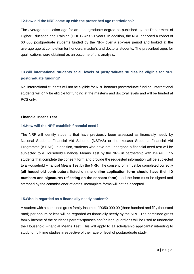#### **12.How did the NRF come up with the prescribed age restrictions?**

The average completion age for an undergraduate degree as published by the Department of Higher Education and Training (DHET) was 21 years. In addition, the NRF analysed a cohort of 60 000 postgraduate students funded by the NRF over a six-year period and looked at the average age at completion for honours, master's and doctoral students. The prescribed ages for qualifications were obtained as an outcome of this analysis.

# **13.Will international students at all levels of postgraduate studies be eligible for NRF postgraduate funding?**

No, international students will not be eligible for NRF honours postgraduate funding. International students will only be eligible for funding at the master's and doctoral levels and will be funded at PCS only.

#### **Financial Means Test**

#### **14.How will the NRF establish financial need?**

The NRF will identify students that have previously been assessed as financially needy by National Students Financial Aid Scheme (NSFAS) or the Ikusasa Students Financial Aid Programme (ISFAP). In addition, students who have not undergone a financial need test will be subjected to a Household Financial Means Test by the NRF in partnership with ISFAP. Only students that complete the consent form and provide the requested information will be subjected to a Household Financial Means Test by the NRF. The consent form must be completed correctly (**all household contributors listed on the online application form should have their ID numbers and signatures reflecting on the consent form**), and the form must be signed and stamped by the commissioner of oaths. Incomplete forms will not be accepted.

#### **15.Who is regarded as a financially needy student?**

A student with a combined gross family income of R350 000.00 (three hundred and fifty thousand rand) per annum or less will be regarded as financially needy by the NRF. The combined gross family income of the student's parents/spouses and/or legal guardians will be used to undertake the Household Financial Means Test. This will apply to all scholarship applicants' intending to study for full-time studies irrespective of their age or level of postgraduate study.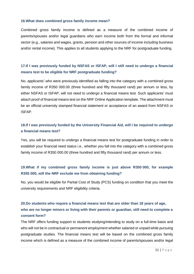#### **16.What does combined gross family income mean?**

Combined gross family income is defined as a measure of the combined income of parents/spouses and/or legal guardians who earn income both from the formal and informal sector (e.g., salaries and wages, grants, pension and other sources of income including business and/or rental income). This applies to all students applying to the NRF for postgraduate funding.

# **17.If I was previously funded by NSFAS or ISFAP, will I still need to undergo a financial means test to be eligible for NRF postgraduate funding?**

No, applicants' who were previously identified as falling into the category with a combined gross family income of R350 000.00 (three hundred and fifty thousand rand) per annum or less, by either NSFAS or ISFAP, will not need to undergo a financial means test. Such applicants' must attach proof of financial means test on the NRF Online Application template. The attachment must be an official university stamped financial statement or acceptance of an award from NSFAS or ISFAP.

# <span id="page-12-0"></span>**18.If I was previously funded by the University Financial Aid, will I be required to undergo a financial means test?**

Yes, you will be required to undergo a financial means test for postgraduate funding in order to establish your financial need status i.e., whether you fall into the category with a combined gross family income of R350 000.00 (three hundred and fifty thousand rand) per annum or less.

# <span id="page-12-1"></span>**19.What if my combined gross family income is just above R350 000, for example R355 000, will the NRF exclude me from obtaining funding?**

No, you would be eligible for Partial Cost of Study (PCS) funding on condition that you meet the university requirements and NRF eligibility criteria.

# <span id="page-12-2"></span>**20.Do students who require a financial means test that are older than 18 years of age, who are no longer minors or living with their parents or guardian, still need to complete a consent form?**

The NRF offers funding support to students studying/intending to study on a full-time basis and who will not be in contractual or permanent employment whether salaried or unpaid while pursuing postgraduate studies. The financial means test will be based on the combined gross family income which is defined as a measure of the combined income of parents/spouses and/or legal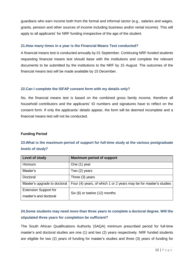guardians who earn income both from the formal and informal sector (e.g., salaries and wages, grants, pension and other sources of income including business and/or rental income). This will apply to all applicants' for NRF funding irrespective of the age of the student.

#### <span id="page-13-0"></span>**21.How many times in a year is the Financial Means Test conducted?**

A financial means test is conducted annually by 01 September. Continuing NRF-funded students requesting financial means test should liaise with the institutions and complete the relevant documents to be submitted by the institutions to the NRF by 15 August. The outcomes of the financial means test will be made available by 15 December.

#### **22.Can I complete the ISFAP consent form with my details only?**

No, the financial means test is based on the combined gross family income, therefore all household contributors and the applicants' ID numbers and signatures have to reflect on the consent form. If only the applicants' details appear, the form will be deemed incomplete and a financial means test will not be conducted.

#### **Funding Period**

# **23.What is the maximum period of support for full-time study at the various postgraduate levels of study?**

| Level of study               | <b>Maximum period of support</b>                                  |  |
|------------------------------|-------------------------------------------------------------------|--|
| <b>Honours</b>               | One (1) year                                                      |  |
| Master's                     | Two (2) years                                                     |  |
| Doctoral                     | Three (3) years                                                   |  |
| Master's upgrade to doctoral | Four (4) years, of which 1 or 2 years may be for master's studies |  |
| <b>Extension Support for</b> | Six (6) or twelve (12) months                                     |  |
| master's and doctoral        |                                                                   |  |

# <span id="page-13-1"></span>**24.Some students may need more than three years to complete a doctoral degree. Will the stipulated three years for completion be sufficient?**

The South African Qualifications Authority (SAQA) minimum prescribed period for full-time master's and doctoral studies are one (1) and two (2) years respectively. NRF funded students are eligible for two (2) years of funding for master's studies and three (3) years of funding for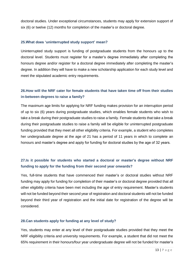doctoral studies. Under exceptional circumstances, students may apply for extension support of six (6) or twelve (12) months for completion of the master's or doctoral degree.

#### <span id="page-14-0"></span>**25.What does 'uninterrupted study support' mean?**

Uninterrupted study support is funding of postgraduate students from the honours up to the doctoral level. Students must register for a master's degree immediately after completing the honours degree and/or register for a doctoral degree immediately after completing the master's degree. In addition they will have to make a new scholarship application for each study level and meet the stipulated academic entry requirements.

# <span id="page-14-1"></span>**26.How will the NRF cater for female students that have taken time off from their studies in-between degrees to raise a family?**

The maximum age limits for applying for NRF funding makes provision for an interruption period of up to six (6) years during postgraduate studies, which enables female students who wish to take a break during their postgraduate studies to raise a family. Female students that take a break during their postgraduate studies to raise a family will be eligible for uninterrupted postgraduate funding provided that they meet all other eligibility criteria. For example, a student who completes her undergraduate degree at the age of 21 has a period of 11 years in which to complete an honours and master's degree and apply for funding for doctoral studies by the age of 32 years.

# <span id="page-14-2"></span>**27.Is it possible for students who started a doctoral or master's degree without NRF funding to apply for the funding from their second year onwards?**

Yes, full-time students that have commenced their master's or doctoral studies without NRF funding may apply for funding for completion of their master's or doctoral degree provided that all other eligibility criteria have been met including the age of entry requirement. Master's students will not be funded beyond their second year of registration and doctoral students will not be funded beyond their third year of registration and the initial date for registration of the degree will be considered.

#### <span id="page-14-3"></span>**28.Can students apply for funding at any level of study?**

Yes, students may enter at any level of their postgraduate studies provided that they meet the NRF eligibility criteria and university requirements. For example, a student that did not meet the 65% requirement in their honours/four year undergraduate degree will not be funded for master's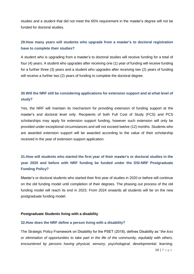studies and a student that did not meet the 65% requirement in the master's degree will not be funded for doctoral studies.

# <span id="page-15-0"></span>**29.How many years will students who upgrade from a master's to doctoral registration have to complete their studies?**

A student who is upgrading from a master's to doctoral studies will receive funding for a total of four (4) years. A student who upgrades after receiving one (1) year of funding will receive funding for a further three (3) years and a student who upgrades after receiving two (2) years of funding will receive a further two (2) years of funding to complete the doctoral degree.

# <span id="page-15-1"></span>**30.Will the NRF still be considering applications for extension support and at what level of study?**

Yes, the NRF will maintain its mechanism for providing extension of funding support at the master's and doctoral level only. Recipients of both Full Cost of Study (FCS) and PCS scholarships may apply for extension support funding, however such extension will only be provided under exceptional circumstances and will not exceed twelve (12) months. Students who are awarded extension support will be awarded according to the value of their scholarship received in the year of extension support application.

# <span id="page-15-2"></span>**31[.How will students who started the first year of their master's](#page-15-2) or doctoral studies in the year 2020 and before [with NRF funding be funded under the DSI-NRF Postgraduate](#page-15-2)  [Funding Policy?](#page-15-2)**

Master's or doctoral students who started their first year of studies in 2020 or before will continue on the old funding model until completion of their degrees. The phasing out process of the old funding model will reach its end in 2023. From 2024 onwards all students will be on the new postgraduate funding model.

#### **Postgraduate Students living with a disability**

#### <span id="page-15-3"></span>**32.How does the NRF define a person living with a disability?**

The Strategic Policy Framework on Disability for the PSET (2018), defines Disability as "*the loss or elimination of opportunities to take part in the life of the community, equitably with others, encountered by persons having physical, sensory, psychological, developmental, learning,*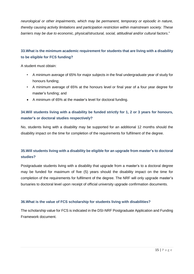*neurological or other impairments, which may be permanent, temporary or episodic in nature, thereby causing activity limitations and participation restriction within mainstream society. These barriers may be due to economic, physical/structural, social, attitudinal and/or cultural factors*."

# <span id="page-16-0"></span>**33.What is the minimum academic requirement for students that are living with a disability to be eligible for FCS funding?**

A student must obtain:

- A minimum average of 65% for major subjects in the final undergraduate year of study for honours funding;
- A minimum average of 65% at the honours level or final year of a four year degree for master's funding; and
- A minimum of 65% at the master's level for doctoral funding.

# <span id="page-16-1"></span>**34.Will students living with a disability be funded strictly for 1, 2 or 3 years for honours, master's or doctoral studies respectively?**

No, students living with a disability may be supported for an additional 12 months should the disability impact on the time for completion of the requirements for fulfilment of the degree.

# <span id="page-16-2"></span>**35.Will students living with a disability be eligible for an upgrade from master's to doctoral studies?**

Postgraduate students living with a disability that upgrade from a master's to a doctoral degree may be funded for maximum of five (5) years should the disability impact on the time for completion of the requirements for fulfilment of the degree. The NRF will only upgrade master's bursaries to doctoral level upon receipt of official university upgrade confirmation documents.

### **36.What is the value of FCS scholarship for students living with disabilities?**

The scholarship value for FCS is indicated in the DSI-NRF Postgraduate Application and Funding Framework document.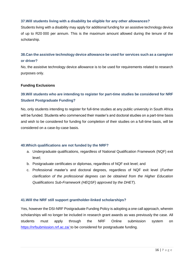#### <span id="page-17-0"></span>**37.Will students living with a disability be eligible for any other allowances?**

Students living with a disability may apply for additional funding for an assistive technology device of up to R20 000 per annum. This is the maximum amount allowed during the tenure of the scholarship.

### <span id="page-17-2"></span>**38.Can the assistive technology device allowance be used for services such as a caregiver or driver?**

No, the assistive technology device allowance is to be used for requirements related to research purposes only.

#### **Funding Exclusions**

# **39.Will students who are intending to register for part-time studies be considered for NRF Student Postgraduate Funding?**

No, only students intending to register for full-time studies at any public university in South Africa will be funded. Students who commenced their master's and doctoral studies on a part-time basis and wish to be considered for funding for completion of their studies on a full-time basis, will be considered on a case-by-case basis.

#### <span id="page-17-1"></span>**40.Which qualifications are not funded by the NRF?**

- a. Undergraduate qualifications, regardless of National Qualification Framework (NQF) exit level;
- b. Postgraduate certificates or diplomas, regardless of NQF exit level; and
- c. Professional master's and doctoral degrees, regardless of NQF exit level (*Further clarification of the professional degrees can be obtained from the Higher Education Qualifications Sub-Framework (HEQSF) approved by the DHET*).

#### <span id="page-17-3"></span>**41.Will the NRF still support grantholder-linked scholarships?**

Yes, however the DSI-NRF Postgraduate Funding Policy is adopting a one call approach, wherein scholarships will no longer be included in research grant awards as was previously the case. All students must apply through the NRF Online submission system on <https://nrfsubmission.nrf.ac.za/> to be considered for postgraduate funding.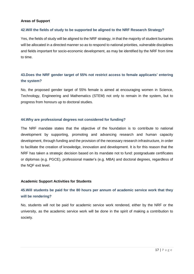#### **Areas of Support**

#### <span id="page-18-0"></span>**42.Will the fields of study to be supported be aligned to the NRF Research Strategy?**

Yes, the fields of study will be aligned to the NRF strategy, in that the majority of student bursaries will be allocated in a directed manner so as to respond to national priorities, vulnerable disciplines and fields important for socio-economic development, as may be identified by the NRF from time to time.

# <span id="page-18-1"></span>**43.Does the NRF gender target of 55% not restrict access to female applicants' entering the system?**

No, the proposed gender target of 55% female is aimed at encouraging women in Science, Technology, Engineering and Mathematics (STEM) not only to remain in the system, but to progress from honours up to doctoral studies.

#### <span id="page-18-2"></span>**44.Why are professional degrees not considered for funding?**

The NRF mandate states that the objective of the foundation is to contribute to national development by supporting, promoting and advancing research and human capacity development, through funding and the provision of the necessary research infrastructure, in order to facilitate the creation of knowledge, innovation and development. It is for this reason that the NRF has taken a strategic decision based on its mandate not to fund: postgraduate certificates or diplomas (e.g. PGCE), professional master's (e.g. MBA) and doctoral degrees, regardless of the NQF exit level.

#### **Academic Support Activities for Students**

# <span id="page-18-3"></span>**45.Will students be paid for the 80 hours per annum of academic service work that they will be rendering?**

No, students will not be paid for academic service work rendered, either by the NRF or the university, as the academic service work will be done in the spirit of making a contribution to society.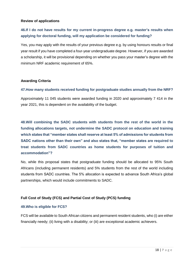#### **Review of applications**

# <span id="page-19-0"></span>**46.If I do not have results for my current in-progress degree e.g. master's results when applying for doctoral funding, will my application be considered for funding?**

Yes, you may apply with the results of your previous degree e.g. by using honours results or final year result if you have completed a four-year undergraduate degree. However, if you are awarded a scholarship, it will be provisional depending on whether you pass your master's degree with the minimum NRF academic requirement of 65%.

#### **Awarding Criteria**

#### <span id="page-19-1"></span>**47.How many students received funding for postgraduate studies annually from the NRF?**

Approximately 11 045 students were awarded funding in 2020 and approximately 7 414 in the year 2021, this is dependent on the availability of the budget.

<span id="page-19-2"></span>**48.Will combining the SADC students with students from the rest of the world in the funding allocations targets, not undermine the SADC protocol on education and training which states that "member states shall reserve at least 5% of admissions for students from SADC nations other than their own" and also states that, "member states are required to treat students from SADC countries as home students for purposes of tuition and accommodation"?**

No, while this proposal states that postgraduate funding should be allocated to 95% South Africans (including permanent residents) and 5% students from the rest of the world including students from SADC countries. The 5% allocation is expected to advance South Africa's global partnerships, which would include commitments to SADC.

#### **Full Cost of Study (FCS) and Partial Cost of Study (PCS) funding**

#### <span id="page-19-3"></span>**49.Who is eligible for FCS?**

FCS will be available to South African citizens and permanent resident students, who (i) are either financially needy; (ii) living with a disability; or (iii) are exceptional academic achievers.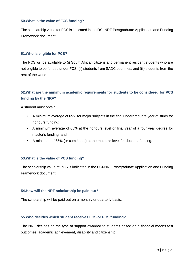#### <span id="page-20-0"></span>**50.What is the value of FCS funding?**

The scholarship value for FCS is indicated in the DSI-NRF Postgraduate Application and Funding Framework document.

#### <span id="page-20-1"></span>**51.Who is eligible for PCS?**

The PCS will be available to (i) South African citizens and permanent resident students who are not eligible to be funded under FCS; (ii) students from SADC countries; and (iii) students from the rest of the world.

# <span id="page-20-2"></span>**52.What are the minimum academic requirements for students to be considered for PCS funding by the NRF?**

A student must obtain:

- A minimum average of 65% for major subjects in the final undergraduate year of study for honours funding;
- A minimum average of 65% at the honours level or final year of a four year degree for master's funding; and
- A minimum of 65% (or cum laude) at the master's level for doctoral funding.

#### <span id="page-20-3"></span>**53.What is the value of PCS funding?**

The scholarship value of PCS is indicated in the DSI-NRF Postgraduate Application and Funding Framework document.

#### <span id="page-20-4"></span>**54.How will the NRF scholarship be paid out?**

The scholarship will be paid out on a monthly or quarterly basis.

#### <span id="page-20-5"></span>**55.Who decides which student receives FCS or PCS funding?**

The NRF decides on the type of support awarded to students based on a financial means test outcomes, academic achievement, disability and citizenship.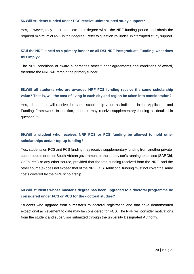#### <span id="page-21-0"></span>**56.Will students funded under PCS receive uninterrupted study support?**

Yes, however, they must complete their degree within the NRF funding period and obtain the required minimum of 65% in their degree. Refer to question 25 under uninterrupted study support.

# <span id="page-21-1"></span>**57.If the NRF is held as a primary funder on all DSI-NRF Postgraduate Funding, what does this imply?**

The NRF conditions of award supersedes other funder agreements and conditions of award, therefore the NRF will remain the primary funder.

# <span id="page-21-2"></span>**58.Will all students who are awarded NRF FCS funding receive the same scholarship value? That is, will the cost of living in each city and region be taken into consideration?**

Yes, all students will receive the same scholarship value as indicated in the Application and Funding Framework. In addition, students may receive supplementary funding as detailed in question 59.

# <span id="page-21-3"></span>**59.Will a student who receives NRF PCS or FCS funding be allowed to hold other scholarships and/or top-up funding?**

Yes, students on PCS and FCS funding may receive supplementary funding from another privatesector source or other South African government or the supervisor's running expenses (SARChI, CoEs, etc.) or any other source, provided that the total funding received from the NRF, and the other source(s) does not exceed that of the NRF FCS. Additional funding must not cover the same costs covered by the NRF scholarship.

# <span id="page-21-4"></span>**60.Will students whose master's degree has been upgraded to a doctoral programme be considered under FCS or PCS for the doctoral studies?**

Students who upgrade from a master's to doctoral registration and that have demonstrated exceptional achievement to date may be considered for FCS. The NRF will consider motivations from the student and supervisor submitted through the university Designated Authority.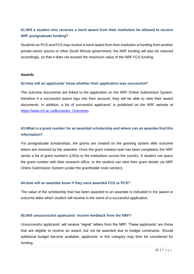# <span id="page-22-0"></span>**61.Will a student who receives a merit award from their institution be allowed to receive NRF postgraduate funding?**

Students on PCS and FCS may receive a merit award from their institution or funding from another private-sector source or other South African government, the NRF funding will also be reduced accordingly, so that it does not exceed the maximum value of the NRF FCS funding.

#### **Awards**

#### <span id="page-22-1"></span>**62.How will an applicants' know whether their application was successful?**

The outcome documents are linked to the application on the NRF Online Submission System, therefore if a successful award logs into their account, they will be able to view their award documents. In addition, a list of successful applicants' is published on the NRF website at [https://www.nrf.ac.za/Bursaries\\_Outcomes.](https://www.nrf.ac.za/Bursaries_Outcomes)

# <span id="page-22-2"></span>**63.What is a grant number for an awarded scholarship and where can an awardee find this information?**

For postgraduate scholarships, the grants are created on the granting system after outcome letters are received by the awardee. Once the grant creation task has been completed, the NRF sends a list of grant numbers (UIDs) to the institutions across the country. A student can query the grant number with their research office, or the student can view their grant details via NRF Online Submission System (under the *grantholder tools* section).

#### <span id="page-22-3"></span>**64.How will an awardee know if they were awarded FCS or PCS?**

The value of the scholarship that has been awarded to an awardee is indicated in the award or outcome letter which student will receive in the event of a successful application.

#### <span id="page-22-4"></span>**65.Will unsuccessful applicants' receive feedback from the NRF?**

Unsuccessful applicants' will receive "regret" letters from the NRF. These applicants' are those that are eligible to receive an award, but not be awarded due to budget constraints. Should additional budget become available, applicants' in this category may then be considered for funding.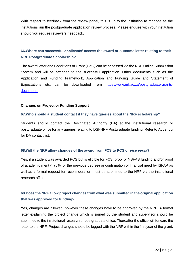With respect to feedback from the review panel, this is up to the institution to manage as the institutions run the postgraduate application review process. Please enquire with your institution should you require reviewers' feedback.

# <span id="page-23-0"></span>**66.Where can successful applicants' access the award or outcome letter relating to their NRF Postgraduate Scholarship?**

The award letter and Conditions of Grant (CoG) can be accessed via the NRF Online Submission System and will be attached to the successful application. Other documents such as the Application and Funding Framework, Application and Funding Guide and Statement of Expectations etc. can be downloaded from [https://www.nrf.ac.za/postgraduate-grants](https://www.nrf.ac.za/postgraduate-grants-documents)[documents.](https://www.nrf.ac.za/postgraduate-grants-documents)

#### **Changes on Project or Funding Support**

#### <span id="page-23-1"></span>**67.Who should a student contact if they have queries about the NRF scholarship?**

Students should contact the Designated Authority (DA) at the institutional research or postgraduate office for any queries relating to DSI-NRF Postgraduate funding. Refer to Appendix for DA contact list.

#### <span id="page-23-2"></span>**68.Will the NRF allow changes of the award from FCS to PCS or** *vice versa***?**

Yes, if a student was awarded PCS but is eligible for FCS, proof of NSFAS funding and/or proof of academic merit (>75% for the previous degree) or confirmation of financial need by ISFAP as well as a formal request for reconsideration must be submitted to the NRF via the institutional research office.

# <span id="page-23-3"></span>**69.Does the NRF allow project changes from what was submitted in the original application that was approved for funding?**

Yes, changes are allowed, however these changes have to be approved by the NRF. A formal letter explaining the project change which is signed by the student and supervisor should be submitted to the institutional research or postgraduate office. Thereafter the office will forward the letter to the NRF. Project changes should be logged with the NRF within the first year of the grant.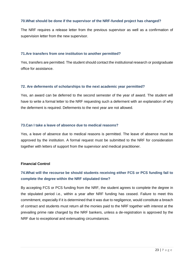#### <span id="page-24-0"></span>**70.What should be done if the supervisor of the NRF-funded project has changed?**

The NRF requires a release letter from the previous supervisor as well as a confirmation of supervision letter from the new supervisor.

#### <span id="page-24-1"></span>**71.Are transfers from one institution to another permitted?**

Yes, transfers are permitted. The student should contact the institutional research or postgraduate office for assistance.

#### <span id="page-24-2"></span>**72. Are deferments of scholarships to the next academic year permitted?**

Yes, an award can be deferred to the second semester of the year of award. The student will have to write a formal letter to the NRF requesting such a deferment with an explanation of why the deferment is required. Deferments to the next year are not allowed.

#### <span id="page-24-3"></span>**73.Can I take a leave of absence due to medical reasons?**

Yes, a leave of absence due to medical reasons is permitted. The leave of absence must be approved by the institution. A formal request must be submitted to the NRF for consideration together with letters of support from the supervisor and medical practitioner.

#### **Financial Control**

# <span id="page-24-4"></span>**74.What will the recourse be should students receiving either FCS or PCS funding fail to complete the degree within the NRF stipulated time?**

By accepting FCS or PCS funding from the NRF, the student agrees to complete the degree in the stipulated period i.e., within a year after NRF funding has ceased. Failure to meet this commitment, especially if it is determined that it was due to negligence, would constitute a breach of contract and students must return all the monies paid to the NRF together with interest at the prevailing prime rate charged by the NRF bankers, unless a de-registration is approved by the NRF due to exceptional and extenuating circumstances.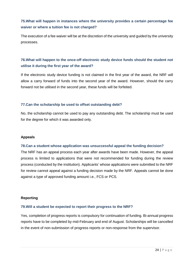# <span id="page-25-0"></span>**75.What will happen in instances where the university provides a certain percentage fee waiver or where a tuition fee is not charged?**

The execution of a fee waiver will be at the discretion of the university and guided by the university processes.

# <span id="page-25-1"></span>**76.What will happen to the once-off electronic study device funds should the student not utilise it during the first year of the award?**

If the electronic study device funding is not claimed in the first year of the award, the NRF will allow a carry forward of funds into the second year of the award. However, should the carry forward not be utilised in the second year, these funds will be forfeited.

#### <span id="page-25-2"></span>**77.Can the scholarship be used to offset outstanding debt?**

No, the scholarship cannot be used to pay any outstanding debt. The scholarship must be used for the degree for which it was awarded only.

#### **Appeals**

#### <span id="page-25-3"></span>**78.Can a student whose application was unsuccessful appeal the funding decision?**

The NRF has an appeal process each year after awards have been made. However, the appeal process is limited to applications that were not recommended for funding during the review process (conducted by the institution). Applicants' whose applications were submitted to the NRF for review cannot appeal against a funding decision made by the NRF. Appeals cannot be done against a type of approved funding amount i.e., FCS or PCS.

#### **Reporting**

#### <span id="page-25-4"></span>**79.Will a student be expected to report their progress to the NRF?**

Yes, completion of progress reports is compulsory for continuation of funding. Bi-annual progress reports have to be completed by mid-February and end of August. Scholarships will be cancelled in the event of non-submission of progress reports or non-response from the supervisor.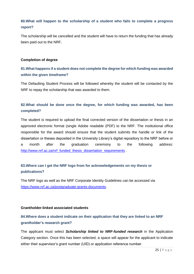# <span id="page-26-0"></span>**80.What will happen to the scholarship of a student who fails to complete a progress report?**

The scholarship will be cancelled and the student will have to return the funding that has already been paid out to the NRF**.**

#### **Completion of degree**

# <span id="page-26-1"></span>**81.What happens if a student does not complete the degree for which funding was awarded within the given timeframe?**

The Defaulting Student Process will be followed whereby the student will be contacted by the NRF to repay the scholarship that was awarded to them.

# <span id="page-26-2"></span>**82.What should be done once the degree, for which funding was awarded, has been completed?**

The student is required to upload the final corrected version of the dissertation or thesis in an approved electronic format (single Adobe readable (PDF) to the NRF. The institutional office responsible for the award should ensure that the student submits the handle or link of the dissertation or theses deposited in the University Library's digital repository to the NRF before or a month after the graduation ceremony to the following address: [http://www.nrf.ac.za/nrf\\_funded\\_thesis\\_dissertation\\_requirements](http://www.nrf.ac.za/nrf_funded_thesis_dissertation_requirements) .

# <span id="page-26-3"></span>**83.Where can I get the NRF logo from for acknowledgements on my thesis or publications?**

The NRF logo as well as the NRF Corporate Identity Guidelines can be accessed via [https://www.nrf.ac.za/postgraduate-grants-documents.](https://www.nrf.ac.za/postgraduate-grants-documents)

#### **Grantholder-linked associated students**

# <span id="page-26-4"></span>**84.Where does a student indicate on their application that they are linked to an NRF grantholder's research grant?**

The applicant must select *Scholarship linked to NRF-funded research* in the Application Category section. Once this has been selected, a space will appear for the applicant to indicate either their supervisor's grant number (UID) or application reference number.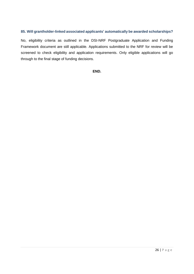#### <span id="page-27-0"></span>**85. Will grantholder-linked associated applicants' automatically be awarded scholarships?**

No, eligibility criteria as outlined in the DSI-NRF Postgraduate Application and Funding Framework document are still applicable. Applications submitted to the NRF for review will be screened to check eligibility and application requirements. Only eligible applications will go through to the final stage of funding decisions.

**END.**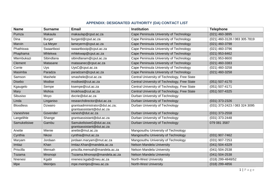# **APPENDIX: DESIGNATED AUTHORITY (DA) CONTACT LIST**

| <b>Name</b>      | <b>Surname</b> | <b>Email</b>                                                | <b>Institution</b>                           | <b>Telephone</b>              |
|------------------|----------------|-------------------------------------------------------------|----------------------------------------------|-------------------------------|
| Pumza            | Makaula        | makaulap@cput.ac.za                                         | Cape Peninsula University of Technology      | (021) 460-3895                |
| Dina             | <b>Burger</b>  | burgerd@cput.ac.za                                          | Cape Peninsula University of Technology      | (021) 460-3128 / 083 305 7819 |
| Marvin           | La Meyer       | lameyerm@cput.ac.za                                         | Cape Peninsula University of Technology      | (021) 460-3798                |
| Phathiswa        | Swaartbooi     | swaartbooip@cput.ac.za                                      | Cape Peninsula University of Technology      | (021) 460-3796                |
| Phaphama         | Mhlekwa        | mhlekwap@cput.ac.za                                         | Cape Peninsula University of Technology      | (021) 953-8462                |
| Mtembukazi       | Sibindlana     | sibindlanam@cput.ac.za                                      | Cape Peninsula University of Technology      | $(021)$ 953-8600              |
| Clement          | Matasane       | matasanec@cput.ac.za                                        | Cape Peninsula University of Technology      | $(021)$ 460-3383              |
| Corrie           | Uys            | UysC@cput.ac.za                                             | Cape Peninsula University of Technology      | (021) 460-3258                |
| Masimba          | Paradza        | paradzam@cput.ac.za                                         | Cape Peninsula University of Technology      | $(021)$ 460-3258              |
| Samson           | Mashele        | smashele@cut.ac.za                                          | Central University of Technology, Free State |                               |
| <b>Disebo</b>    | Modise         | modised@cut.ac.za                                           | Central University of Technology, Free State | $(051) 507 - 4170$            |
| Kgaugelo         | Sempe          | ksempe@cut.ac.za                                            | Central University of Technology, Free State | $(051) 507 - 4171$            |
| Mary             | Mohoa          | Imokhoa@cut.ac.za                                           | Central University of Technology, Free State | $(051)$ 507-4325              |
| Sibusiso         | Moyo           | dvcrie@dut.ac.za                                            | Durban University of Technology              |                               |
| Linda            | Linganiso      | researchdirector@dut.ac.za                                  | Durban University of Technology              | (031) 373-2326                |
| <b>Bloodless</b> | Dzwairo        | grantsadministrator@dut.ac.za;<br>grantsassistant@dut.ac.za | Durban University of Technology              | (031) 373-2423 / 083 324 3095 |
| Vaneshree        | Govender       | vanesh@dut.ac.za                                            | Durban University of Technology              | $(031)$ 373-2558              |
| Langelihle       | Shange         | grantsassistant@dut.ac.za                                   | Durban University of Technology              | (031) 373-2448                |
| Samukelisiwe     | Gambu          | SamukelisiweG@dut.ac.za;<br>grantsassistant@dut.ac.za       | Durban University of Technology              | 079 081 3587                  |
| Anette           | Mienie         | anette@mut.ac.za                                            | Mangosuthu University of Technology          |                               |
| Cynthia          | <b>Nkosi</b>   | cynthia@mut.ac.za                                           | Mangosuthu University of Technology          | (031) 907-7462                |
| Maryam           | Jordaan        | jordaan.maryam@mut.ac.za                                    | Mangosuthu University of Technology          | $(031)$ 907-7253              |
| Imtiaz           | <b>Khan</b>    | Imtiaz.Khan@mandela.ac.za                                   | Nelson Mandela University                    | $(041) 504 - 4329$            |
| Priscilla        | Mensah         | priscilla.mensah@mandela.ac.za                              | Nelson Mandela University                    | $(041) 504 - 2538$            |
| Tozama           | Mnonopi        | Tozama.Mnonopi@mandela.ac.za                                | Nelson Mandela University                    | $(041) 504 - 2538$            |
| Nnenesi          | Kgabi          | nnenesi.kgabi@nwu.ac.za                                     | North-West University                        | (018) 299-4848/52             |
| Mpe              | Meintjes       | mpe.meintjes@nwu.ac.za                                      | North-West University                        | $(018)$ 299-4856              |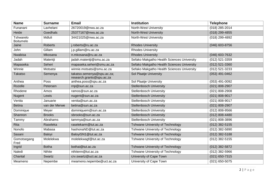| <b>Name</b>                   | <b>Surname</b> | Email                                                   | <b>Institution</b>                         | <b>Telephone</b>   |
|-------------------------------|----------------|---------------------------------------------------------|--------------------------------------------|--------------------|
| Funanani                      | Lavhelani      | 26720019@nwu.ac.za                                      | <b>North-West University</b>               | $(018)$ 285-2014   |
| Heide                         | Goedhals       | 25377167@nwu.ac.za                                      | North-West University                      | $(018)$ 299-4855   |
| Tshwarelo<br><b>Boitumelo</b> | Mdluli         | 34421025@nwu.ac.za                                      | North-West University                      | (018) 299-4892     |
| Jaine                         | <b>Roberts</b> | j.roberts@ru.ac.za                                      | <b>Rhodes University</b>                   | (046) 603-8756     |
| John                          | Gillam         | j.p.gillam@ru.ac.za                                     | <b>Rhodes University</b>                   |                    |
| <b>Nwabisa</b>                | Mkosana        | n.mkosana@ru.ac.za                                      | <b>Rhodes University</b>                   | (046) 603-7632     |
| Jadah                         | Matentji       | jadah.matentji@smu.ac.za                                | Sefako Makgatho Health Sciences University | (012) 521-3359     |
| Mapaseka                      | Seheri         | mapaseka.seheri@smu.ac.za                               | Sefako Makgatho Health Sciences University | $(012)$ 521-3360   |
| Winnie                        | Motsatsi       | winnie.motsatsi@smu.ac.za                               | Sefako Makgatho Health Sciences University | (012) 521-3233     |
| <b>Takatso</b>                | Semenya        | takatso.semenya@spu.ac.za;<br>research.grants@spu.ac.za | Sol Plaatje University                     | $(053)$ 491-0462   |
| Anthea                        | Poss           | anthea.poss@spu.ac.za                                   | Sol Plaatje University                     | $(053)$ 491-0092   |
| Rozelle                       | Petersen       | rnp@sun.ac.za                                           | <b>Stellenbosch University</b>             | $(021) 808 - 2907$ |
| Rhodene                       | Amos           | ramos@sun.ac.za                                         | <b>Stellenbosch University</b>             | $(021) 808 - 2908$ |
| <b>Nugent</b>                 | Lewis          | nugent@sun.ac.za                                        | <b>Stellenbosch University</b>             | $(021)$ 808-9017   |
| Venita                        | Januarie       | venita@sun.ac.za                                        | <b>Stellenbosch University</b>             | (021) 808-9017     |
| <b>Betina</b>                 | van der Merwe  | betina@sun.ac.za                                        | <b>Stellenbosch University</b>             | $(021) 808 - 2907$ |
| Dominique                     | Meyer          | dominiquem@sun.ac.za                                    | <b>Stellenbosch University</b>             | $(012)$ 808-9566   |
| Shannon                       | <b>Brooks</b>  | sbrooks@sun.ac.za                                       | <b>Stellenbosch University</b>             | $(012)$ 808-4480   |
| Tammy                         | Abrahams       | tammya@sun.ac.za                                        | <b>Stellenbosch University</b>             | $(021)$ 808-3896   |
| Rita                          | Raseleka       | raselekarm@tut.ac.za                                    | <b>Tshwane University of Technology</b>    | $(012)$ 382-5155   |
| Nonofo                        | Mabasa         | hashonaND@tut.ac.za                                     | <b>Tshwane University of Technology</b>    | $(012)$ 382-5890   |
| Sasani                        | Baloyi         | BaloyiSN1@tut.ac.za                                     | Tshwane University of Technology           | $(012)$ 382-5188   |
| Gomotsegang<br>Fred           | Molelekwa      | molelekwagf@tut.ac.za                                   | Tshwane University of Technology           | $(012)$ 382-5155   |
| Ingrid                        | <b>Botha</b>   | bothai@tut.ac.za                                        | Tshwane University of Technology           | $(012)$ 382-5872   |
| Naledi                        | <b>Nthite</b>  | nthitenn@tut.ac.za                                      | Tshwane University of Technology           | $(012)$ 382-5966   |
| Chantal                       | Swartz         | crv.swartz@uct.ac.za                                    | University of Cape Town                    | $(021)$ 650-7315   |
| Meameno                       | Nepembe        | meameno.nepembe@uct.ac.za                               | University of Cape Town                    | $(021)$ 650-5075   |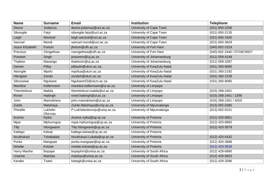| <b>Name</b>     | <b>Surname</b>       | <b>Email</b>                 | <b>Institution</b>          | <b>Telephone</b>            |
|-----------------|----------------------|------------------------------|-----------------------------|-----------------------------|
| Desne           | Jodamus              | desne.jodamus@uct.ac.za      | University of Cape Town     | $(021) 650 - 2206$          |
| Sibongile       | Fatyi                | sibongile.fatyi@uct.ac.za    | University of Cape Town     | $(021)$ 650-2135            |
| Leigh           | Wentzel              | leigh.wentzel@uct.ac.za      | University of Cape Town     | $(021)$ 650-1920            |
| Samuel          | Mondi                | samuel.mondi@uct.ac.za       | University of Cape Town     | (021) 650-3629              |
| Joyce Elizabeth | Fortuin              | jfortuin@ufh.ac.za           | University of Fort Hare     | $(040)$ 602-2319            |
| Precious        | Zengethwa            | nzengethwa@ufh.ac.za         | University of Fort Hare     | (040) 602 2440 / 0723678927 |
| Praveen         | Singh                | praveens@uj.ac.za            | University of Johannesburg  | $(011) 559 - 4148$          |
| Thabiso         | Masango              | thabisom@uj.ac.za            | University of Johannesburg  | (011) 559-3287              |
| Denise          | Pillay               | pillaydn@ukzn.ac.za;         | University of KwaZulu-Natal | $(031)$ 260-8085            |
| Abongile        | Mpofu                | mpofua@ukzn.ac.za            | University of KwaZulu-Natal | (031) 260-2192              |
| Hlengiwe        | Zondo                | zondoh@ukzn.ac.za            | University of KwaZulu-Natal | $(031)$ 260-2239            |
| Sibusisiwe      | Ngubane              | NgubaneS3@ukzn.ac.za         | University of KwaZulu-Natal | $(031)$ 260-8085            |
| Marelize        | Kellermann           | marelize.kellermann@ul.ac.za | University of Limpopo       |                             |
| Thembinkosi     | Mabila               | thembinkosi.mabila@ul.ac.za  | University of Limpopo       | $(015)$ 268-2401            |
| Ronel           | Hattingh             | ronel.hattingh@ul.ac.za      | University of Limpopo       | (015) 268-2401 / 2298       |
| John            | Mamokhere            | john.mamokhere@ul.ac.za      | University of Limpopo       | (015) 268-2401 / 4029       |
| Zukile          | Matshaya             | Zukile.Matshaya@ump.ac.za    | University of Mpumalanga    | $(013) 002 - 0385$          |
| Phindile        | Lukhele-<br>Olorunju | P.Lukheleolorunju@ump.ac.za  | University of Mpumalanga    | $(013) 002 - 0151$          |
| Aceme           | Nyika                | Aceme.nyika@up.ac.za         | University of Pretoria      | (012) 420-6851              |
| Mpai            | Mphunngoa            | mpai.mphunngoa@up.ac.za      | University of Pretoria      | (012) 420-6850              |
| <b>Tilly</b>    | Hlongwane            | Tilly.hlongwane@up.ac.za     | University of Pretoria      | $(012)$ 420-3579            |
| Katlego         | Kekae                | katlego.kekae@up.ac.za       | University of Pretoria      |                             |
| Ncuthukazi      | Tshabalala           | Ncuthukazi.Lubala@up.ac.za   | University of Pretoria      | (012) 420-5432              |
| Portia          | Mangope              | portia.mangope@up.ac.za      | University of Pretoria      | (012) 420-3688              |
| Ninette         | Kotzee               | ninette.kotzee@up.ac.za      | University of Pretoria      | $(012)$ 420-3528            |
| Harry Maishe    | <b>Bopape</b>        | bopaphm@unisa.ac.za          | University of South Africa  | $(012)$ 429-6890            |
| Unarine         | Mashao               | mashau@unisa.ac.za           | University of South Africa  | (012) 429-8920              |
| Karabo          | Tsatsi               | tsatsgk@unisa.ac.za          | University of South Africa  | (012) 429-2096              |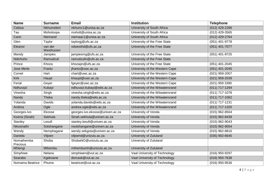| <b>Name</b>            | <b>Surname</b>        | <b>Email</b>                    | <b>Institution</b>              | <b>Telephone</b> |
|------------------------|-----------------------|---------------------------------|---------------------------------|------------------|
| Cebisa                 | Nkhumeleni            | nkhumc1@unisa.ac.za             | University of South Africa      | $(012)$ 429-2286 |
| Tau                    | Moholoopa             | moholt@unisa.ac.za              | University of South Africa      | $(012)$ 429-3565 |
| Carin                  | Niemand               | niemaac1@unisa.ac.za            | University of South Africa      | (012) 429-2764   |
| Glen                   | Taylor                | taylorgj@ufs.ac.za              | University of the Free State    | (051) 401-9778   |
| Eleanor                | van der<br>Westhuizen | vdwesthd@ufs.ac.za              | University of the Free State    | $(051)$ 401-7077 |
| Mandy                  | Jampies               | jampiesmg@ufs.ac.za             | University of the Free State    | (051) 401-9725   |
| Ndivhuho               | Ramudzuli             | ramudzulin@ufs.ac.za            | University of the Free State    |                  |
| Prince                 | Khoza                 | khozapn@ufs.ac.za               | University of the Free State    | $(051)$ 401-2045 |
| <b>Jose Merle</b>      | Frantz                | jfrantz@uwc.ac.za               | University of the Western Cape  | $(051)$ 401-2045 |
| Cornel                 | Hart                  | chart@uwc.ac.za                 | University of the Western Cape  | (021) 959-2007   |
| <b>Kirk</b>            | Haupt                 | khaupt@uwc.ac.za                | University of the Western Cape  | $(021)$ 959-2039 |
| Ferial                 | Geyer                 | fgeyer@uwc.ac.za                | University of the Western Cape  | (021) 959 3390   |
| Ndhuvazi               | Kubayi                | ndhuvazi.kubayi@wits.ac.za      | University of the Witwatersrand | (011) 717-1294   |
| Vinesha                | Singh                 | vinesha.singh@wits.ac.za        | University of the Witwatersrand | $(011)$ 717-1078 |
| Nandy                  | Theka                 | nandy.theka@wits.ac.za          | University of the Witwatersrand | $(011)$ 717-1062 |
| Yolanda                | Davids                | yolanda.davids@wits.ac.za       | University of the Witwatersrand | $(011)$ 717-1231 |
| Andrea                 | Ogle                  | andrea.ogle@wits.ac.za          | University of the Witwatersrand | $(011)$ 717-1320 |
| Georges-Ivo            | Ekosse                | georges-ivo.ekosse@univen.ac.za | University of Venda             | $(015)$ 962-8504 |
| Koena (Sinah)          | Sekhula               | Sinah.sekhula@univen.ac.za      | University of Venda             | $(015)$ 962-8439 |
| Stanley                | Lesufi                | stanley.lesufi@univen.ac.za     | University of Venda             | $(015)$ 962-9043 |
| Nkosinathi             | Sotshangane           | nsotshangane@univen.ac.za       | University of Venda             | $(015)$ 962-9054 |
| Wendy                  | Nemphagane            | wendy.sekgota@univen.ac.za      | University of Venda             | $(015)$ 962-8816 |
| Daniela                | Viljoen               | viljoend@unizulu.ac.za          | University of Zululand          | $(035)$ 902-6645 |
| Nomathemba<br>Precious | Shoba                 | ShobaNO@unizulu.ac.za           | University of Zululand          |                  |
| Mhlengi                | Mthembu               | mthembumh@unizulu.ac.za         | University of Zululand          |                  |
| Simphiwe               | Nelana                | simphiwen@vut.ac.za             | Vaal University of Technology   | (016) 950-9297   |
| Searabo                | Kgekoane              | dorcask@vut.ac.za               | Vaal University of Technology   | $(016)$ 950-7638 |
| Nomama Beatrice        | Phume                 | beatricet@vut.ac.za             | Vaal University of Technology   | (016) 950-9536   |